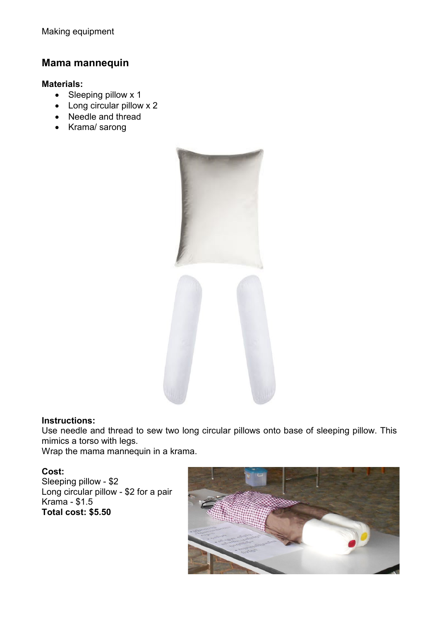# **Mama mannequin**

### **Materials:**

- Sleeping pillow x 1
- Long circular pillow x 2
- Needle and thread
- Krama/ sarong



#### **Instructions:**

Use needle and thread to sew two long circular pillows onto base of sleeping pillow. This mimics a torso with legs.

Wrap the mama mannequin in a krama.

## **Cost:**

Sleeping pillow - \$2 Long circular pillow - \$2 for a pair Krama - \$1.5 **Total cost: \$5.50**